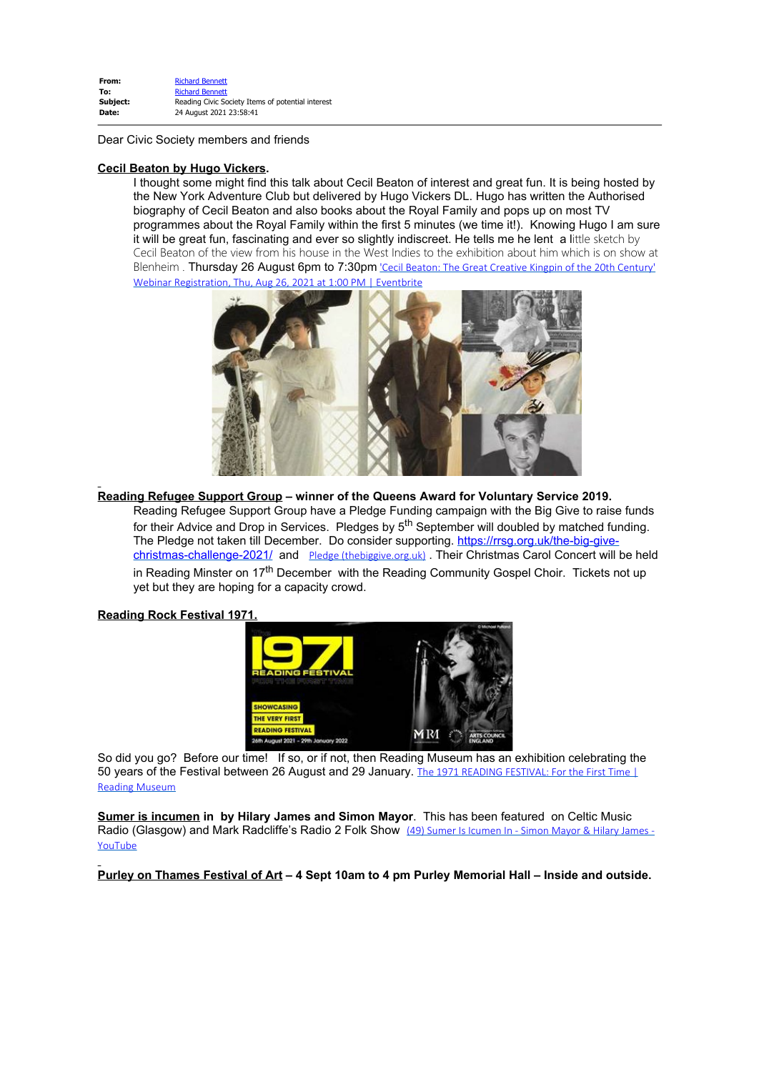| From:    | <b>Richard Bennett</b>                            |
|----------|---------------------------------------------------|
| To:      | <b>Richard Bennett</b>                            |
| Subject: | Reading Civic Society Items of potential interest |
| Date:    | 24 August 2021 23:58:41                           |
|          |                                                   |

Dear Civic Society members and friends

#### **Cecil Beaton by Hugo Vickers.**

I thought some might find this talk about Cecil Beaton of interest and great fun. It is being hosted by the New York Adventure Club but delivered by Hugo Vickers DL. Hugo has written the Authorised biography of Cecil Beaton and also books about the Royal Family and pops up on most TV programmes about the Royal Family within the first 5 minutes (we time it!). Knowing Hugo I am sure it will be great fun, fascinating and ever so slightly indiscreet. He tells me he lent a little sketch by Cecil Beaton of the view from his house in the West Indies to the exhibition about him which is on show at Blenheim . Thursday 26 August 6pm to 7:30pm ['Cecil Beaton: The Great Creative Kingpin of the 20th Century'](https://emea01.safelinks.protection.outlook.com/?url=https%3A%2F%2Fwww.eventbrite.com%2Fe%2Fcecil-beaton-the-great-creative-kingpin-of-the-20th-century-webinar-registration-164499030027%3Faff%3Desli%26utm-campaign%3Dsocial%26utm-content%3Dattendeeshare%26utm-medium%3Ddiscovery%26utm-source%3Dli%26utm-term%3Dlisting%26fbclid%3DIwAR2aEAt3Ddr9vToZsa59LTjSZmHWmxNBctbuhpr4kkuZEDaDg00eyurPLx0&data=04%7C01%7C%7Cc52955d0045d4e82ed3e08d96752b5aa%7C84df9e7fe9f640afb435aaaaaaaaaaaa%7C1%7C0%7C637654427207151092%7CUnknown%7CTWFpbGZsb3d8eyJWIjoiMC4wLjAwMDAiLCJQIjoiV2luMzIiLCJBTiI6Ik1haWwiLCJXVCI6Mn0%3D%7C1000&sdata=KSq7pdPCzKbdufs8%2Bs4%2BHsB4BiLugoaGBUEmCCipEiU%3D&reserved=0) [Webinar Registration, Thu, Aug 26, 2021 at 1:00 PM | Eventbrite](https://emea01.safelinks.protection.outlook.com/?url=https%3A%2F%2Fwww.eventbrite.com%2Fe%2Fcecil-beaton-the-great-creative-kingpin-of-the-20th-century-webinar-registration-164499030027%3Faff%3Desli%26utm-campaign%3Dsocial%26utm-content%3Dattendeeshare%26utm-medium%3Ddiscovery%26utm-source%3Dli%26utm-term%3Dlisting%26fbclid%3DIwAR2aEAt3Ddr9vToZsa59LTjSZmHWmxNBctbuhpr4kkuZEDaDg00eyurPLx0&data=04%7C01%7C%7Cc52955d0045d4e82ed3e08d96752b5aa%7C84df9e7fe9f640afb435aaaaaaaaaaaa%7C1%7C0%7C637654427207151092%7CUnknown%7CTWFpbGZsb3d8eyJWIjoiMC4wLjAwMDAiLCJQIjoiV2luMzIiLCJBTiI6Ik1haWwiLCJXVCI6Mn0%3D%7C1000&sdata=KSq7pdPCzKbdufs8%2Bs4%2BHsB4BiLugoaGBUEmCCipEiU%3D&reserved=0)



**Reading Refugee Support Group – winner of the Queens Award for Voluntary Service 2019.**

Reading Refugee Support Group have a Pledge Funding campaign with the Big Give to raise funds for their Advice and Drop in Services. Pledges by  $5<sup>th</sup>$  September will doubled by matched funding. The Pledge not taken till December. Do consider supporting. [https://rrsg.org.uk/the-big-give](https://emea01.safelinks.protection.outlook.com/?url=https%3A%2F%2Frrsg.org.uk%2Fthe-big-give-christmas-challenge-2021%2F%3Ffbclid%3DIwAR2AuczQJFfS2oWx64Timx5TlXzxmQ7J_caPCEsowp-3m4vgQQ6RYge6OsY&data=04%7C01%7C%7Cc52955d0045d4e82ed3e08d96752b5aa%7C84df9e7fe9f640afb435aaaaaaaaaaaa%7C1%7C0%7C637654427207151092%7CUnknown%7CTWFpbGZsb3d8eyJWIjoiMC4wLjAwMDAiLCJQIjoiV2luMzIiLCJBTiI6Ik1haWwiLCJXVCI6Mn0%3D%7C1000&sdata=TLzkzhTV8jWakblit6TTP4EYfJMNSjko56tkTTY5%2FME%3D&reserved=0)[christmas-challenge-2021/](https://emea01.safelinks.protection.outlook.com/?url=https%3A%2F%2Frrsg.org.uk%2Fthe-big-give-christmas-challenge-2021%2F%3Ffbclid%3DIwAR2AuczQJFfS2oWx64Timx5TlXzxmQ7J_caPCEsowp-3m4vgQQ6RYge6OsY&data=04%7C01%7C%7Cc52955d0045d4e82ed3e08d96752b5aa%7C84df9e7fe9f640afb435aaaaaaaaaaaa%7C1%7C0%7C637654427207151092%7CUnknown%7CTWFpbGZsb3d8eyJWIjoiMC4wLjAwMDAiLCJQIjoiV2luMzIiLCJBTiI6Ik1haWwiLCJXVCI6Mn0%3D%7C1000&sdata=TLzkzhTV8jWakblit6TTP4EYfJMNSjko56tkTTY5%2FME%3D&reserved=0) and [Pledge \(thebiggive.org.uk\)](https://emea01.safelinks.protection.outlook.com/?url=https%3A%2F%2Fwww.thebiggive.org.uk%2Fs%2Fpledge%3FcampaignId%3Da056900001xbYRhAAM&data=04%7C01%7C%7Cc52955d0045d4e82ed3e08d96752b5aa%7C84df9e7fe9f640afb435aaaaaaaaaaaa%7C1%7C0%7C637654427207151092%7CUnknown%7CTWFpbGZsb3d8eyJWIjoiMC4wLjAwMDAiLCJQIjoiV2luMzIiLCJBTiI6Ik1haWwiLCJXVCI6Mn0%3D%7C1000&sdata=DaXr6%2FztBlWNRuhNe5alIO2TEVQOnkggOmDxWxPzoQc%3D&reserved=0) . Their Christmas Carol Concert will be held in Reading Minster on 17<sup>th</sup> December with the Reading Community Gospel Choir. Tickets not up yet but they are hoping for a capacity crowd.

### **Reading Rock Festival 1971.**



So did you go? Before our time! If so, or if not, then Reading Museum has an exhibition celebrating the 50 years of the Festival between 26 August and 29 January. [The 1971 READING FESTIVAL: For the First Time |](https://emea01.safelinks.protection.outlook.com/?url=https%3A%2F%2Fwww.readingmuseum.org.uk%2Fwhats-on%2F1971-reading-festival-for-first-time&data=04%7C01%7C%7Cc52955d0045d4e82ed3e08d96752b5aa%7C84df9e7fe9f640afb435aaaaaaaaaaaa%7C1%7C0%7C637654427207161052%7CUnknown%7CTWFpbGZsb3d8eyJWIjoiMC4wLjAwMDAiLCJQIjoiV2luMzIiLCJBTiI6Ik1haWwiLCJXVCI6Mn0%3D%7C1000&sdata=PUOBjNx2TdfMkAox2q8hX62McDIs7qIvkUkD%2BrWv3r0%3D&reserved=0) [Reading Museum](https://emea01.safelinks.protection.outlook.com/?url=https%3A%2F%2Fwww.readingmuseum.org.uk%2Fwhats-on%2F1971-reading-festival-for-first-time&data=04%7C01%7C%7Cc52955d0045d4e82ed3e08d96752b5aa%7C84df9e7fe9f640afb435aaaaaaaaaaaa%7C1%7C0%7C637654427207161052%7CUnknown%7CTWFpbGZsb3d8eyJWIjoiMC4wLjAwMDAiLCJQIjoiV2luMzIiLCJBTiI6Ik1haWwiLCJXVCI6Mn0%3D%7C1000&sdata=PUOBjNx2TdfMkAox2q8hX62McDIs7qIvkUkD%2BrWv3r0%3D&reserved=0)

**Sumer is incumen in by Hilary James and Simon Mayor**. This has been featured on Celtic Music Radio (Glasgow) and Mark Radcliffe's Radio 2 Folk Show [\(49\) Sumer Is Icumen In - Simon Mayor & Hilary James -](https://emea01.safelinks.protection.outlook.com/?url=https%3A%2F%2Fwww.youtube.com%2Fwatch%3Fv%3DbQLaLdRIF10&data=04%7C01%7C%7Cc52955d0045d4e82ed3e08d96752b5aa%7C84df9e7fe9f640afb435aaaaaaaaaaaa%7C1%7C0%7C637654427207161052%7CUnknown%7CTWFpbGZsb3d8eyJWIjoiMC4wLjAwMDAiLCJQIjoiV2luMzIiLCJBTiI6Ik1haWwiLCJXVCI6Mn0%3D%7C1000&sdata=1PJimcntHR%2FmFW87H%2F8e91N4OUBoNeneUlSVn6%2Bt0S0%3D&reserved=0) [YouTube](https://emea01.safelinks.protection.outlook.com/?url=https%3A%2F%2Fwww.youtube.com%2Fwatch%3Fv%3DbQLaLdRIF10&data=04%7C01%7C%7Cc52955d0045d4e82ed3e08d96752b5aa%7C84df9e7fe9f640afb435aaaaaaaaaaaa%7C1%7C0%7C637654427207161052%7CUnknown%7CTWFpbGZsb3d8eyJWIjoiMC4wLjAwMDAiLCJQIjoiV2luMzIiLCJBTiI6Ik1haWwiLCJXVCI6Mn0%3D%7C1000&sdata=1PJimcntHR%2FmFW87H%2F8e91N4OUBoNeneUlSVn6%2Bt0S0%3D&reserved=0)

**Purley on Thames Festival of Art – 4 Sept 10am to 4 pm Purley Memorial Hall – Inside and outside.**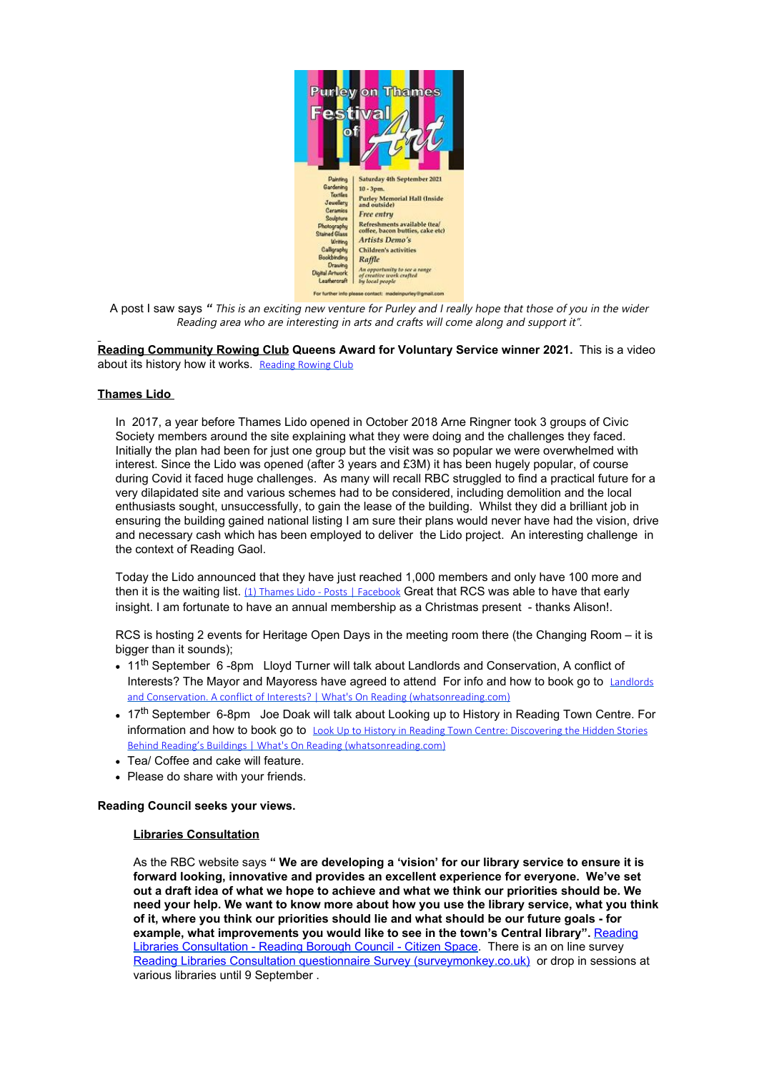

A post I saw says *"* This is an exciting new venture for Purley and I really hope that those of you in the wider Reading area who are interesting in arts and crafts will come along and support it".

**Reading Community Rowing Club Queens Award for Voluntary Service winner 2021.** This is a video about its history how it works. [Reading Rowing Club](https://emea01.safelinks.protection.outlook.com/?url=https%3A%2F%2Fwww.facebook.com%2Fchris.forsey.7%2Fvideos%2F573457550328691&data=04%7C01%7C%7Cc52955d0045d4e82ed3e08d96752b5aa%7C84df9e7fe9f640afb435aaaaaaaaaaaa%7C1%7C0%7C637654427207170998%7CUnknown%7CTWFpbGZsb3d8eyJWIjoiMC4wLjAwMDAiLCJQIjoiV2luMzIiLCJBTiI6Ik1haWwiLCJXVCI6Mn0%3D%7C1000&sdata=IBjOw0nE7Wn4RM3aB8%2BDCU%2FpVUcxwOoF6q61U0qyKTs%3D&reserved=0)

### **Thames Lido**

In 2017, a year before Thames Lido opened in October 2018 Arne Ringner took 3 groups of Civic Society members around the site explaining what they were doing and the challenges they faced. Initially the plan had been for just one group but the visit was so popular we were overwhelmed with interest. Since the Lido was opened (after 3 years and £3M) it has been hugely popular, of course during Covid it faced huge challenges. As many will recall RBC struggled to find a practical future for a very dilapidated site and various schemes had to be considered, including demolition and the local enthusiasts sought, unsuccessfully, to gain the lease of the building. Whilst they did a brilliant job in ensuring the building gained national listing I am sure their plans would never have had the vision, drive and necessary cash which has been employed to deliver the Lido project. An interesting challenge in the context of Reading Gaol.

Today the Lido announced that they have just reached 1,000 members and only have 100 more and then it is the waiting list. [\(1\) Thames Lido - Posts | Facebook](https://emea01.safelinks.protection.outlook.com/?url=https%3A%2F%2Fwww.facebook.com%2Fthameslido%2Fposts%2F2595960110713789&data=04%7C01%7C%7Cc52955d0045d4e82ed3e08d96752b5aa%7C84df9e7fe9f640afb435aaaaaaaaaaaa%7C1%7C0%7C637654427207170998%7CUnknown%7CTWFpbGZsb3d8eyJWIjoiMC4wLjAwMDAiLCJQIjoiV2luMzIiLCJBTiI6Ik1haWwiLCJXVCI6Mn0%3D%7C1000&sdata=fqjCpQTNwNquCuPLq6j0PuywBkfFABLre46zSemodTM%3D&reserved=0) Great that RCS was able to have that early insight. I am fortunate to have an annual membership as a Christmas present - thanks Alison!.

RCS is hosting 2 events for Heritage Open Days in the meeting room there (the Changing Room – it is bigger than it sounds);

- 11<sup>th</sup> September 6 -8pm Lloyd Turner will talk about Landlords and Conservation, A conflict of Interests? The Mayor and Mayoress have agreed to attend For info and how to book go to [Landlords](https://emea01.safelinks.protection.outlook.com/?url=https%3A%2F%2Fwhatsonreading.com%2Findex.php%2Fvenues%2Freading-uk%2Fwhats-on%2Flandlords-and-conservation-conflict-interests&data=04%7C01%7C%7Cc52955d0045d4e82ed3e08d96752b5aa%7C84df9e7fe9f640afb435aaaaaaaaaaaa%7C1%7C0%7C637654427207170998%7CUnknown%7CTWFpbGZsb3d8eyJWIjoiMC4wLjAwMDAiLCJQIjoiV2luMzIiLCJBTiI6Ik1haWwiLCJXVCI6Mn0%3D%7C1000&sdata=TIfHg6IptyHH%2BWVyl7J6i1Wa84aymKiwXBYP4tSyj4Q%3D&reserved=0) [and Conservation. A conflict of Interests? | What's On Reading \(whatsonreading.com\)](https://emea01.safelinks.protection.outlook.com/?url=https%3A%2F%2Fwhatsonreading.com%2Findex.php%2Fvenues%2Freading-uk%2Fwhats-on%2Flandlords-and-conservation-conflict-interests&data=04%7C01%7C%7Cc52955d0045d4e82ed3e08d96752b5aa%7C84df9e7fe9f640afb435aaaaaaaaaaaa%7C1%7C0%7C637654427207170998%7CUnknown%7CTWFpbGZsb3d8eyJWIjoiMC4wLjAwMDAiLCJQIjoiV2luMzIiLCJBTiI6Ik1haWwiLCJXVCI6Mn0%3D%7C1000&sdata=TIfHg6IptyHH%2BWVyl7J6i1Wa84aymKiwXBYP4tSyj4Q%3D&reserved=0)
- 17<sup>th</sup> September 6-8pm Joe Doak will talk about Looking up to History in Reading Town Centre. For information and how to book go to [Look Up to History in Reading Town Centre: Discovering the Hidden Stories](https://emea01.safelinks.protection.outlook.com/?url=https%3A%2F%2Fwhatsonreading.com%2Findex.php%2Fvenues%2Freading-uk%2Fwhats-on%2Flook-history-reading-town-centre-discovering-hidden-stories-behind&data=04%7C01%7C%7Cc52955d0045d4e82ed3e08d96752b5aa%7C84df9e7fe9f640afb435aaaaaaaaaaaa%7C1%7C0%7C637654427207180951%7CUnknown%7CTWFpbGZsb3d8eyJWIjoiMC4wLjAwMDAiLCJQIjoiV2luMzIiLCJBTiI6Ik1haWwiLCJXVCI6Mn0%3D%7C1000&sdata=lM5CyrbwEC%2B%2BD4GgTc%2BXq%2FdGa7YK5w2QJjE9FVGcjpM%3D&reserved=0) [Behind Reading's Buildings | What's On Reading \(whatsonreading.com\)](https://emea01.safelinks.protection.outlook.com/?url=https%3A%2F%2Fwhatsonreading.com%2Findex.php%2Fvenues%2Freading-uk%2Fwhats-on%2Flook-history-reading-town-centre-discovering-hidden-stories-behind&data=04%7C01%7C%7Cc52955d0045d4e82ed3e08d96752b5aa%7C84df9e7fe9f640afb435aaaaaaaaaaaa%7C1%7C0%7C637654427207180951%7CUnknown%7CTWFpbGZsb3d8eyJWIjoiMC4wLjAwMDAiLCJQIjoiV2luMzIiLCJBTiI6Ik1haWwiLCJXVCI6Mn0%3D%7C1000&sdata=lM5CyrbwEC%2B%2BD4GgTc%2BXq%2FdGa7YK5w2QJjE9FVGcjpM%3D&reserved=0)
- Tea/ Coffee and cake will feature.
- Please do share with your friends.

### **Reading Council seeks your views.**

# **Libraries Consultation**

As the RBC website says **" We are developing a 'vision' for our library service to ensure it is forward looking, innovative and provides an excellent experience for everyone. We've set out a draft idea of what we hope to achieve and what we think our priorities should be. We need your help. We want to know more about how you use the library service, what you think of it, where you think our priorities should lie and what should be our future goals - for** example, what improvements you would like to see in the town's Central library". [Reading](https://emea01.safelinks.protection.outlook.com/?url=https%3A%2F%2Fconsult.reading.gov.uk%2Fdens%2Freading-libraries-consultation%2F%3Futm_source%3DFacebook%26utm_medium%3Dsocial%26utm_campaign%3DOrlo%26utm_content%3DLibrary%2BConsultation&data=04%7C01%7C%7Cc52955d0045d4e82ed3e08d96752b5aa%7C84df9e7fe9f640afb435aaaaaaaaaaaa%7C1%7C0%7C637654427207180951%7CUnknown%7CTWFpbGZsb3d8eyJWIjoiMC4wLjAwMDAiLCJQIjoiV2luMzIiLCJBTiI6Ik1haWwiLCJXVCI6Mn0%3D%7C1000&sdata=CzxSbDUnYZXpZOJvSLWDmr47wMDRsqiWFQikw%2FO30bk%3D&reserved=0) [Libraries Consultation - Reading Borough Council - Citizen Space.](https://emea01.safelinks.protection.outlook.com/?url=https%3A%2F%2Fconsult.reading.gov.uk%2Fdens%2Freading-libraries-consultation%2F%3Futm_source%3DFacebook%26utm_medium%3Dsocial%26utm_campaign%3DOrlo%26utm_content%3DLibrary%2BConsultation&data=04%7C01%7C%7Cc52955d0045d4e82ed3e08d96752b5aa%7C84df9e7fe9f640afb435aaaaaaaaaaaa%7C1%7C0%7C637654427207180951%7CUnknown%7CTWFpbGZsb3d8eyJWIjoiMC4wLjAwMDAiLCJQIjoiV2luMzIiLCJBTiI6Ik1haWwiLCJXVCI6Mn0%3D%7C1000&sdata=CzxSbDUnYZXpZOJvSLWDmr47wMDRsqiWFQikw%2FO30bk%3D&reserved=0) There is an on line survey [Reading Libraries Consultation questionnaire Survey \(surveymonkey.co.uk\)](https://emea01.safelinks.protection.outlook.com/?url=https%3A%2F%2Fwww.surveymonkey.co.uk%2Fr%2FReadingLibraries&data=04%7C01%7C%7Cc52955d0045d4e82ed3e08d96752b5aa%7C84df9e7fe9f640afb435aaaaaaaaaaaa%7C1%7C0%7C637654427207180951%7CUnknown%7CTWFpbGZsb3d8eyJWIjoiMC4wLjAwMDAiLCJQIjoiV2luMzIiLCJBTiI6Ik1haWwiLCJXVCI6Mn0%3D%7C1000&sdata=4MmE%2FGj4au7oQTtC007qQoOVyL5Ln%2BKsDvi0kehdfVI%3D&reserved=0) or drop in sessions at various libraries until 9 September .